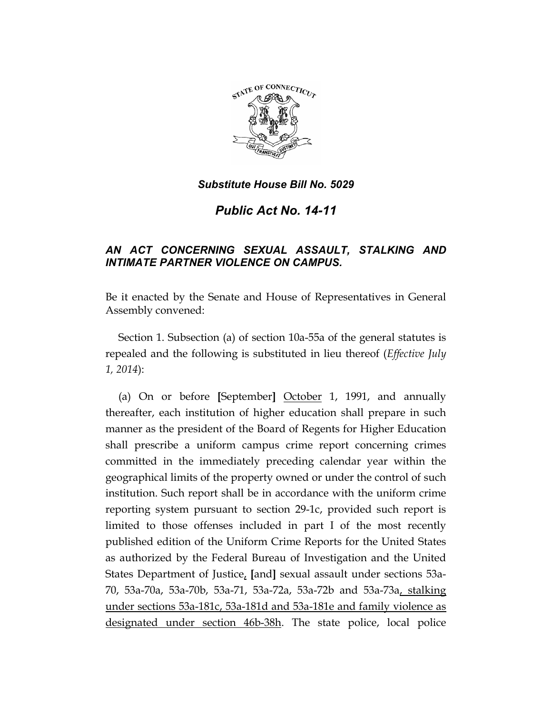

*Public Act No. 14-11* 

# *AN ACT CONCERNING SEXUAL ASSAULT, STALKING AND INTIMATE PARTNER VIOLENCE ON CAMPUS.*

Be it enacted by the Senate and House of Representatives in General Assembly convened:

Section 1. Subsection (a) of section 10a-55a of the general statutes is repealed and the following is substituted in lieu thereof (*Effective July 1, 2014*):

(a) On or before **[**September**]** October 1, 1991, and annually thereafter, each institution of higher education shall prepare in such manner as the president of the Board of Regents for Higher Education shall prescribe a uniform campus crime report concerning crimes committed in the immediately preceding calendar year within the geographical limits of the property owned or under the control of such institution. Such report shall be in accordance with the uniform crime reporting system pursuant to section 29-1c, provided such report is limited to those offenses included in part I of the most recently published edition of the Uniform Crime Reports for the United States as authorized by the Federal Bureau of Investigation and the United States Department of Justice, **[**and**]** sexual assault under sections 53a-70, 53a-70a, 53a-70b, 53a-71, 53a-72a, 53a-72b and 53a-73a, stalking under sections 53a-181c, 53a-181d and 53a-181e and family violence as designated under section 46b-38h. The state police, local police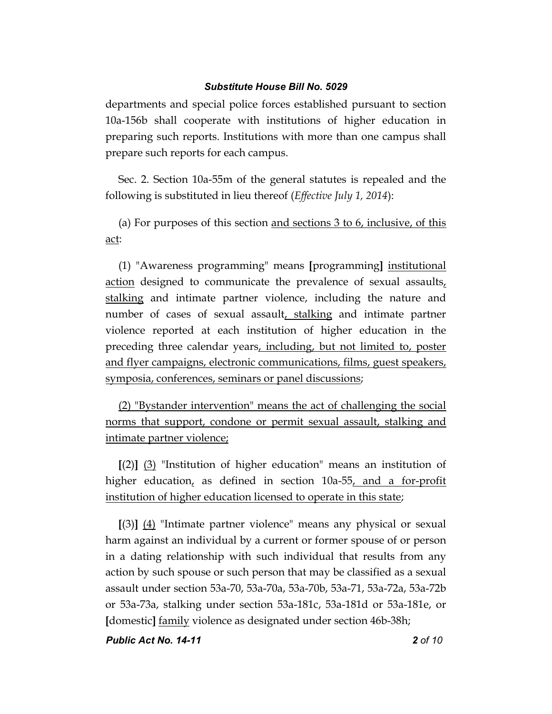departments and special police forces established pursuant to section 10a-156b shall cooperate with institutions of higher education in preparing such reports. Institutions with more than one campus shall prepare such reports for each campus.

Sec. 2. Section 10a-55m of the general statutes is repealed and the following is substituted in lieu thereof (*Effective July 1, 2014*):

(a) For purposes of this section and sections 3 to 6, inclusive, of this act:

(1) "Awareness programming" means **[**programming**]** institutional action designed to communicate the prevalence of sexual assaults, stalking and intimate partner violence, including the nature and number of cases of sexual assault, stalking and intimate partner violence reported at each institution of higher education in the preceding three calendar years, including, but not limited to, poster and flyer campaigns, electronic communications, films, guest speakers, symposia, conferences, seminars or panel discussions;

(2) "Bystander intervention" means the act of challenging the social norms that support, condone or permit sexual assault, stalking and intimate partner violence;

**[**(2)**]** (3) "Institution of higher education" means an institution of higher education, as defined in section 10a-55, and a for-profit institution of higher education licensed to operate in this state;

**[**(3)**]** (4) "Intimate partner violence" means any physical or sexual harm against an individual by a current or former spouse of or person in a dating relationship with such individual that results from any action by such spouse or such person that may be classified as a sexual assault under section 53a-70, 53a-70a, 53a-70b, 53a-71, 53a-72a, 53a-72b or 53a-73a, stalking under section 53a-181c, 53a-181d or 53a-181e, or **[**domestic**]** family violence as designated under section 46b-38h;

*Public Act No. 14-11 2 of 10*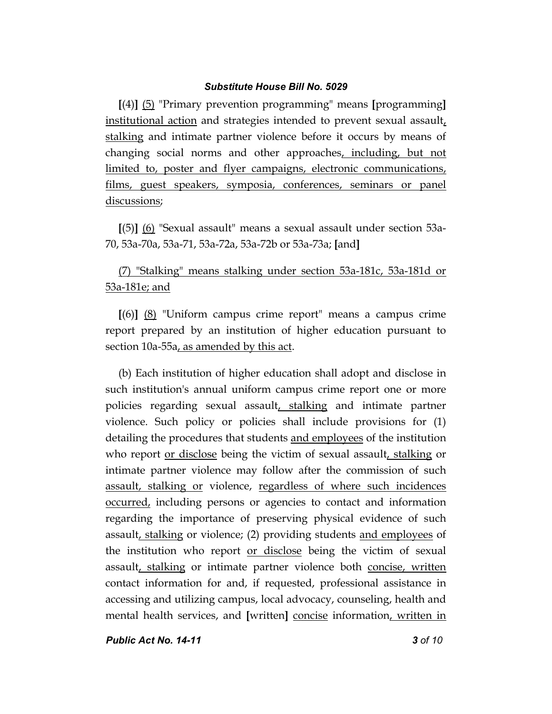**[**(4)**]** (5) "Primary prevention programming" means **[**programming**]** institutional action and strategies intended to prevent sexual assault, stalking and intimate partner violence before it occurs by means of changing social norms and other approaches, including, but not limited to, poster and flyer campaigns, electronic communications, films, guest speakers, symposia, conferences, seminars or panel discussions;

**[**(5)**]** (6) "Sexual assault" means a sexual assault under section 53a-70, 53a-70a, 53a-71, 53a-72a, 53a-72b or 53a-73a; **[**and**]**

# (7) "Stalking" means stalking under section 53a-181c, 53a-181d or 53a-181e; and

**[**(6)**]** (8) "Uniform campus crime report" means a campus crime report prepared by an institution of higher education pursuant to section 10a-55a, as amended by this act.

(b) Each institution of higher education shall adopt and disclose in such institution's annual uniform campus crime report one or more policies regarding sexual assault, stalking and intimate partner violence. Such policy or policies shall include provisions for (1) detailing the procedures that students and employees of the institution who report or disclose being the victim of sexual assault, stalking or intimate partner violence may follow after the commission of such assault, stalking or violence, regardless of where such incidences occurred, including persons or agencies to contact and information regarding the importance of preserving physical evidence of such assault, stalking or violence; (2) providing students and employees of the institution who report or disclose being the victim of sexual assault, stalking or intimate partner violence both concise, written contact information for and, if requested, professional assistance in accessing and utilizing campus, local advocacy, counseling, health and mental health services, and **[**written**]** concise information, written in

*Public Act No. 14-11 3 of 10*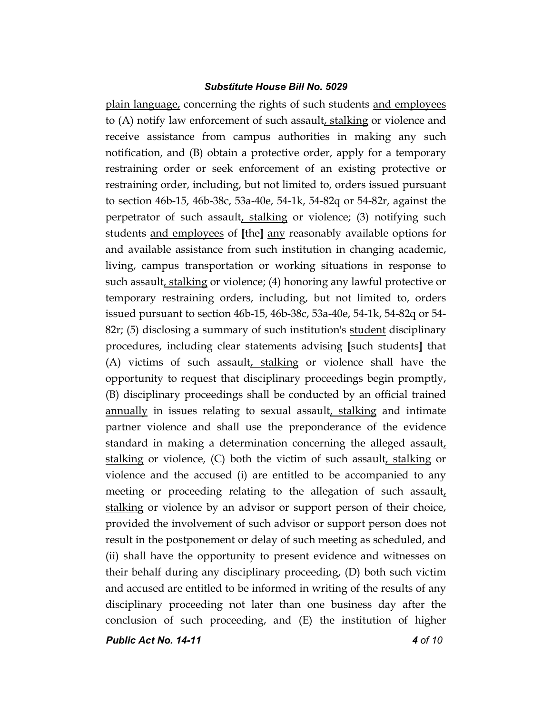*Public Act No. 14-11 4 of 10* plain language, concerning the rights of such students and employees to (A) notify law enforcement of such assault, stalking or violence and receive assistance from campus authorities in making any such notification, and (B) obtain a protective order, apply for a temporary restraining order or seek enforcement of an existing protective or restraining order, including, but not limited to, orders issued pursuant to section 46b-15, 46b-38c, 53a-40e, 54-1k, 54-82q or 54-82r, against the perpetrator of such assault, stalking or violence; (3) notifying such students and employees of **[**the**]** any reasonably available options for and available assistance from such institution in changing academic, living, campus transportation or working situations in response to such assault, stalking or violence; (4) honoring any lawful protective or temporary restraining orders, including, but not limited to, orders issued pursuant to section 46b-15, 46b-38c, 53a-40e, 54-1k, 54-82q or 54- 82r; (5) disclosing a summary of such institution's student disciplinary procedures, including clear statements advising **[**such students**]** that (A) victims of such assault, stalking or violence shall have the opportunity to request that disciplinary proceedings begin promptly, (B) disciplinary proceedings shall be conducted by an official trained annually in issues relating to sexual assault, stalking and intimate partner violence and shall use the preponderance of the evidence standard in making a determination concerning the alleged assault, stalking or violence,  $(C)$  both the victim of such assault, stalking or violence and the accused (i) are entitled to be accompanied to any meeting or proceeding relating to the allegation of such assault, stalking or violence by an advisor or support person of their choice, provided the involvement of such advisor or support person does not result in the postponement or delay of such meeting as scheduled, and (ii) shall have the opportunity to present evidence and witnesses on their behalf during any disciplinary proceeding, (D) both such victim and accused are entitled to be informed in writing of the results of any disciplinary proceeding not later than one business day after the conclusion of such proceeding, and (E) the institution of higher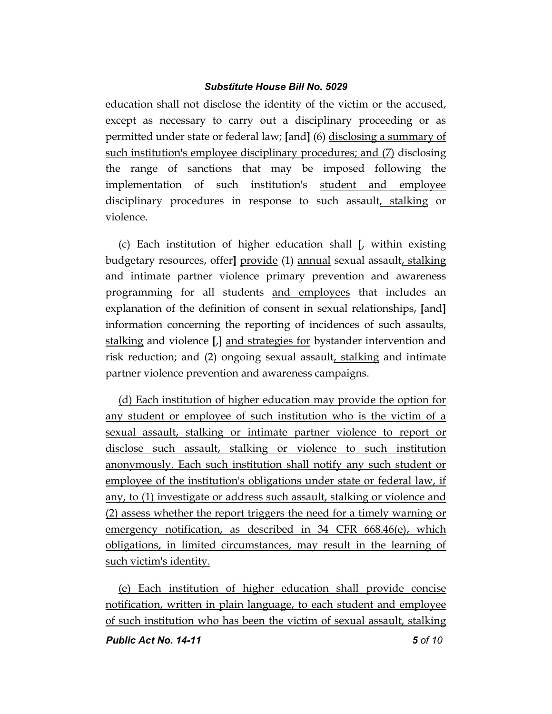education shall not disclose the identity of the victim or the accused, except as necessary to carry out a disciplinary proceeding or as permitted under state or federal law; **[**and**]** (6) disclosing a summary of such institution's employee disciplinary procedures; and (7) disclosing the range of sanctions that may be imposed following the implementation of such institution's student and employee disciplinary procedures in response to such assault, stalking or violence.

(c) Each institution of higher education shall **[**, within existing budgetary resources, offer**]** provide (1) annual sexual assault, stalking and intimate partner violence primary prevention and awareness programming for all students and employees that includes an explanation of the definition of consent in sexual relationships, **[**and**]** information concerning the reporting of incidences of such assaults, stalking and violence **[**,**]** and strategies for bystander intervention and risk reduction; and (2) ongoing sexual assault, stalking and intimate partner violence prevention and awareness campaigns.

(d) Each institution of higher education may provide the option for any student or employee of such institution who is the victim of a sexual assault, stalking or intimate partner violence to report or disclose such assault, stalking or violence to such institution anonymously. Each such institution shall notify any such student or employee of the institution's obligations under state or federal law, if any, to (1) investigate or address such assault, stalking or violence and (2) assess whether the report triggers the need for a timely warning or emergency notification, as described in 34 CFR 668.46(e), which obligations, in limited circumstances, may result in the learning of such victim's identity.

(e) Each institution of higher education shall provide concise notification, written in plain language, to each student and employee of such institution who has been the victim of sexual assault, stalking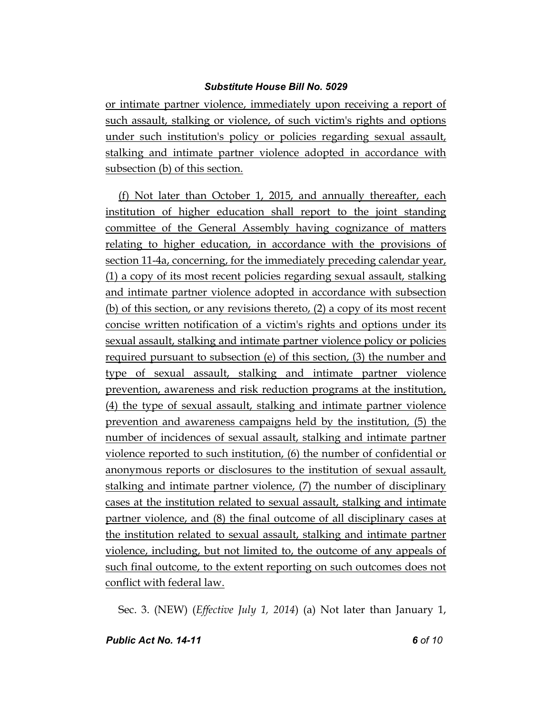or intimate partner violence, immediately upon receiving a report of such assault, stalking or violence, of such victim's rights and options under such institution's policy or policies regarding sexual assault, stalking and intimate partner violence adopted in accordance with subsection (b) of this section.

(f) Not later than October 1, 2015, and annually thereafter, each institution of higher education shall report to the joint standing committee of the General Assembly having cognizance of matters relating to higher education, in accordance with the provisions of section 11-4a, concerning, for the immediately preceding calendar year, (1) a copy of its most recent policies regarding sexual assault, stalking and intimate partner violence adopted in accordance with subsection (b) of this section, or any revisions thereto, (2) a copy of its most recent concise written notification of a victim's rights and options under its sexual assault, stalking and intimate partner violence policy or policies required pursuant to subsection (e) of this section, (3) the number and type of sexual assault, stalking and intimate partner violence prevention, awareness and risk reduction programs at the institution, (4) the type of sexual assault, stalking and intimate partner violence prevention and awareness campaigns held by the institution, (5) the number of incidences of sexual assault, stalking and intimate partner violence reported to such institution, (6) the number of confidential or anonymous reports or disclosures to the institution of sexual assault, stalking and intimate partner violence, (7) the number of disciplinary cases at the institution related to sexual assault, stalking and intimate partner violence, and (8) the final outcome of all disciplinary cases at the institution related to sexual assault, stalking and intimate partner violence, including, but not limited to, the outcome of any appeals of such final outcome, to the extent reporting on such outcomes does not conflict with federal law.

Sec. 3. (NEW) (*Effective July 1, 2014*) (a) Not later than January 1,

*Public Act No. 14-11 6 of 10*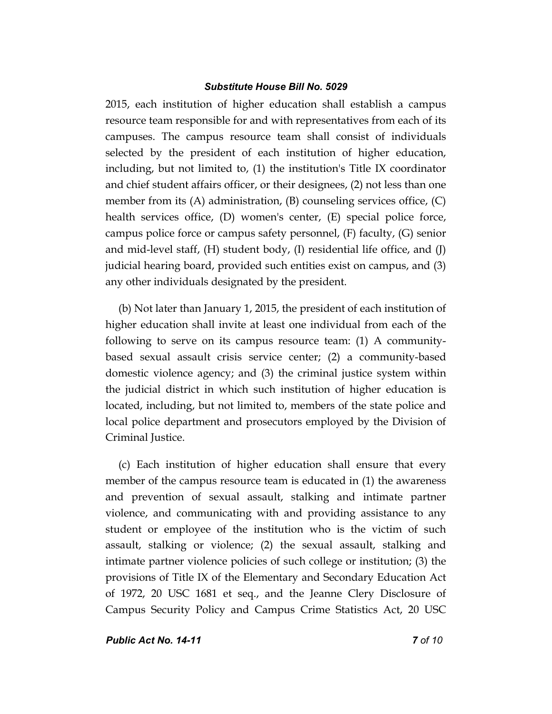2015, each institution of higher education shall establish a campus resource team responsible for and with representatives from each of its campuses. The campus resource team shall consist of individuals selected by the president of each institution of higher education, including, but not limited to, (1) the institution's Title IX coordinator and chief student affairs officer, or their designees, (2) not less than one member from its  $(A)$  administration,  $(B)$  counseling services office,  $(C)$ health services office, (D) women's center, (E) special police force, campus police force or campus safety personnel, (F) faculty, (G) senior and mid-level staff,  $(H)$  student body,  $(I)$  residential life office, and  $(I)$ judicial hearing board, provided such entities exist on campus, and (3) any other individuals designated by the president.

(b) Not later than January 1, 2015, the president of each institution of higher education shall invite at least one individual from each of the following to serve on its campus resource team: (1) A communitybased sexual assault crisis service center; (2) a community-based domestic violence agency; and (3) the criminal justice system within the judicial district in which such institution of higher education is located, including, but not limited to, members of the state police and local police department and prosecutors employed by the Division of Criminal Justice.

(c) Each institution of higher education shall ensure that every member of the campus resource team is educated in (1) the awareness and prevention of sexual assault, stalking and intimate partner violence, and communicating with and providing assistance to any student or employee of the institution who is the victim of such assault, stalking or violence; (2) the sexual assault, stalking and intimate partner violence policies of such college or institution; (3) the provisions of Title IX of the Elementary and Secondary Education Act of 1972, 20 USC 1681 et seq., and the Jeanne Clery Disclosure of Campus Security Policy and Campus Crime Statistics Act, 20 USC

*Public Act No. 14-11 7 of 10*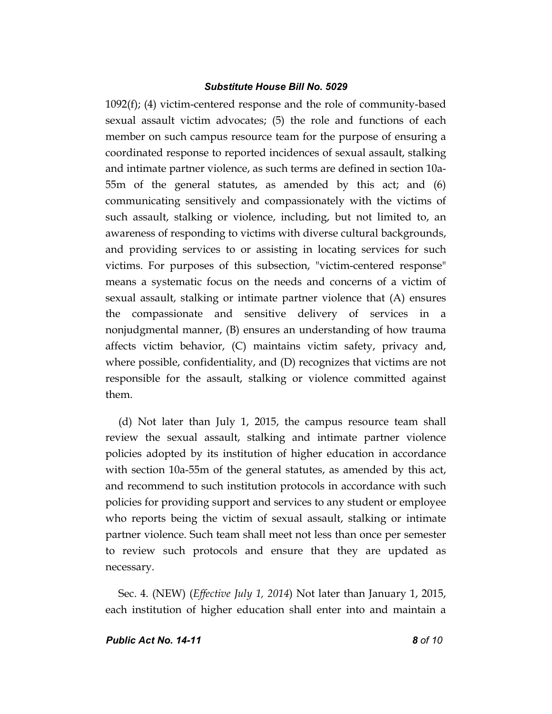1092(f); (4) victim-centered response and the role of community-based sexual assault victim advocates; (5) the role and functions of each member on such campus resource team for the purpose of ensuring a coordinated response to reported incidences of sexual assault, stalking and intimate partner violence, as such terms are defined in section 10a-55m of the general statutes, as amended by this act; and (6) communicating sensitively and compassionately with the victims of such assault, stalking or violence, including, but not limited to, an awareness of responding to victims with diverse cultural backgrounds, and providing services to or assisting in locating services for such victims. For purposes of this subsection, "victim-centered response" means a systematic focus on the needs and concerns of a victim of sexual assault, stalking or intimate partner violence that (A) ensures the compassionate and sensitive delivery of services in a nonjudgmental manner, (B) ensures an understanding of how trauma affects victim behavior, (C) maintains victim safety, privacy and, where possible, confidentiality, and (D) recognizes that victims are not responsible for the assault, stalking or violence committed against them.

(d) Not later than July 1, 2015, the campus resource team shall review the sexual assault, stalking and intimate partner violence policies adopted by its institution of higher education in accordance with section 10a-55m of the general statutes, as amended by this act, and recommend to such institution protocols in accordance with such policies for providing support and services to any student or employee who reports being the victim of sexual assault, stalking or intimate partner violence. Such team shall meet not less than once per semester to review such protocols and ensure that they are updated as necessary.

Sec. 4. (NEW) (*Effective July 1, 2014*) Not later than January 1, 2015, each institution of higher education shall enter into and maintain a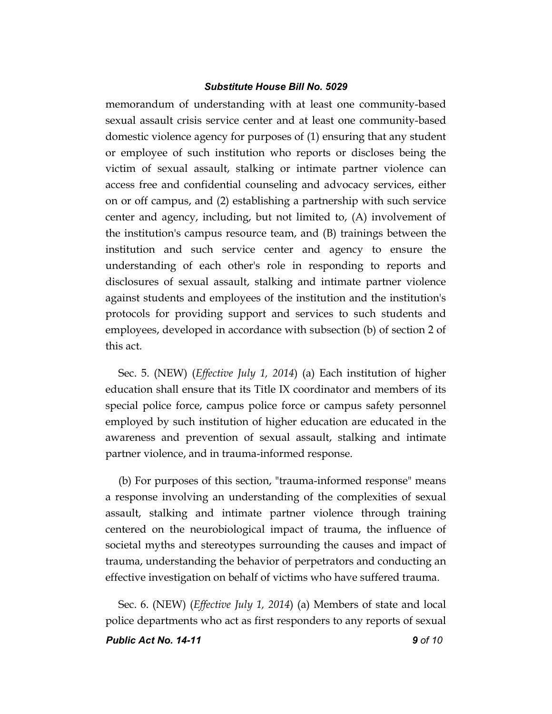memorandum of understanding with at least one community-based sexual assault crisis service center and at least one community-based domestic violence agency for purposes of (1) ensuring that any student or employee of such institution who reports or discloses being the victim of sexual assault, stalking or intimate partner violence can access free and confidential counseling and advocacy services, either on or off campus, and (2) establishing a partnership with such service center and agency, including, but not limited to, (A) involvement of the institution's campus resource team, and (B) trainings between the institution and such service center and agency to ensure the understanding of each other's role in responding to reports and disclosures of sexual assault, stalking and intimate partner violence against students and employees of the institution and the institution's protocols for providing support and services to such students and employees, developed in accordance with subsection (b) of section 2 of this act.

Sec. 5. (NEW) (*Effective July 1, 2014*) (a) Each institution of higher education shall ensure that its Title IX coordinator and members of its special police force, campus police force or campus safety personnel employed by such institution of higher education are educated in the awareness and prevention of sexual assault, stalking and intimate partner violence, and in trauma-informed response.

(b) For purposes of this section, "trauma-informed response" means a response involving an understanding of the complexities of sexual assault, stalking and intimate partner violence through training centered on the neurobiological impact of trauma, the influence of societal myths and stereotypes surrounding the causes and impact of trauma, understanding the behavior of perpetrators and conducting an effective investigation on behalf of victims who have suffered trauma.

*Public Act No. 14-11 9 of 10* Sec. 6. (NEW) (*Effective July 1, 2014*) (a) Members of state and local police departments who act as first responders to any reports of sexual